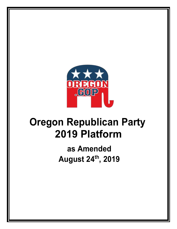

## **as Amended August 24th, 2019**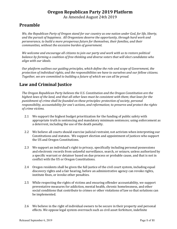As Amended August 24th 2019

#### **Preamble**

*We, the Republican Party of Oregon stand for our country as one nation under God, for life, liberty, and the pursuit of happiness. All Oregonians deserve the opportunity, through hard work and perseverance, to build a more prosperous future for themselves, their families, and their communities, without the excessive burden of government.*

*We welcome and encourage all citizens to join our party and work with us to restore political balance by forming a coalition of free-thinking and diverse voters that will elect candidates who align with our ideals.*

*Our platform outlines our guiding principles, which define the role and scope of Government, the protection of individual rights, and the responsibilities we have to ourselves and our fellow citizens. Together, we are committed to building a future of which we can all be proud.*

#### **Law and Criminal Justice**

*The Oregon Republican Party believes the U.S. Constitution and the Oregon Constitution are the highest laws of the land, and that all other laws must be consistent with them; that laws for the punishment of crime shall be founded on these principles: protection of society, personal responsibility, accountability for one's actions, and reformation; to preserve and protect the rights of crime victims.*

- 2.1 We support the highest budget prioritization for the funding of public safety with appropriate truth in sentencing and mandatory minimum sentences; using enforcement as a deterrent, including the use of the death penalty.
- 2.2 We believe all courts should exercise judicial restraint, not activism when interpreting our Constitutions and statutes. We support election and appointment of justices who support the US and Oregon Constitutions.
- 2.3 We support an individual's right to privacy, specifically including personal possessions and electronic records from unlawful surveillance, search, or seizure, unless authorized by a specific warrant or detainer based on due process or probable cause, and that is not in conflict with the US or Oregon Constitutions.
- 2.4 Oregon residents shall be given the full justice of the civil court system, including equal discovery rights and a fair hearing, before an administrative agency can revoke rights, institute fines, or invoke other penalties.
- 2.5 While respecting the rights of victims and ensuring offender accountability, we support preventative measures for addiction, mental health, chronic homelessness, and other social conditions that contribute to crimes or other violations of law so that solutions can be implemented.
- 2.6 We believe in the right of individual owners to be secure in their property and personal effects. We oppose legal system overreach such as civil asset forfeiture, indefinite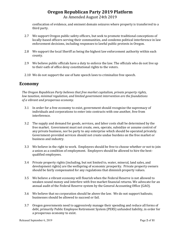#### **Oregon Republican Party 2019 Platform** As Amended August 24th 2019

confiscation of evidence, and eminent domain seizures where property is transferred to a third party.

- 2.7 We support Oregon public safety officers, but seek to promote traditional conceptions of locally-based officers serving their communities, and condemn political interference in law enforcement decisions, including responses to lawful public protests in Oregon.
- 2.8 We support the local Sheriff as being the highest law enforcement authority within each county.
- 2.9 We believe public officials have a duty to enforce the law. The officials who do not live up to their oath of office deny constitutional rights to the voters.
- 2.10 We do not support the use of hate speech laws to criminalize free speech.

#### **Economy**

*The Oregon Republican Party believes that free market capitalism, private property rights, low taxation, minimal regulation, and limited government intervention are the foundations of a vibrant and prosperous economy.*

- 3.1 In order for a free economy to exist, government should recognize the supremacy of individuals and corporations to enter into contracts with one another, free from interference.
- 3.2 The supply and demand for goods, services, and labor costs shall be determined by the free market. Government must not create, own, operate, subsidize or assume control of any private business, nor be party to any enterprise which should be operated privately. Government-provided services should not create undue burdens on the free market or business and industry.
- 3.3 We believe in the right to work. Employees should be free to choose whether or not to join a union as a condition of employment. Employers should be allowed to hire the bestqualified employees.
- 3.4 Private property rights (including, but not limited to, water, mineral, land sales, and development rights) are the wellspring of economic prosperity. Private property owners should be fairly compensated for any regulations that diminish property values.
- 3.5 We believe a vibrant economy will flourish when the Federal Reserve is not allowed to weaken sound money and interfere with free market financial returns. We advocate for an annual audit of the Federal Reserve system by the General Accounting Office (GAO).
- 3.6 We believe that no corporation should be above the law. We do not support bailouts; businesses should be allowed to succeed or fail.
- 3.7 Oregon governments need to aggressively manage their spending and reduce all forms of debt, primarily Public Employee Retirement System (PERS) unfunded liability, in order for a prosperous economy to exist.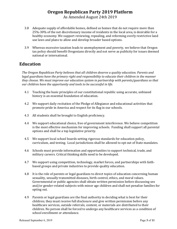As Amended August 24th 2019

- 3.8 Adequate supply of affordable homes, defined as homes that do not require more than 25%-30% of the net discretionary income of residents in the local area, is desirable for a healthy economy. We support reviewing, repealing, and reforming overly restrictive land use laws and plans to allow and develop broader based options.
- 3.9 Whereas excessive taxation leads to unemployment and poverty, we believe that Oregon tax policy should benefit Oregonians directly and not serve as publicity for issues deemed national or international.

#### **Education**

*The Oregon Republican Party believes that all children deserve a quality education. Parents and legal guardians have the primary right and responsibility to educate their children in the manner they choose. We must improve our education system in partnership with parents/guardians so that our children have the opportunity and tools to be successful in life.* 

- 4.1 Teaching the basic principles of our constitutional republic using accurate, unbiased history is an essential foundation of education.
- 4.2 We support daily recitation of the Pledge of Allegiance and educational activities that promote pride in America and respect for its flag in our schools.
- 4.3 All students shall be brought to English proficiency.
- 4.4 We support educational choice, free of government interference. We believe competition is the most effective mechanism for improving schools. Funding shall support all parental options and shall be a top legislative priority.
- 4.5 We support local school boards setting rigorous standards for education policy, curriculum, and testing. Local jurisdictions shall be allowed to opt out of State mandates.
- 4.6 Schools must provide information and opportunities to support technical, trade, and military careers. Critical thinking skills need to be developed.
- 4.7 We support using competition, technology, market forces, and partnerships with faithbased groups and private industries to provide quality education.
- 4.8 It is the role of parents or legal guardians to direct topics of education concerning human sexuality, sexually transmitted diseases, birth control, ethics, and moral values. Governmental or public agencies shall obtain written permission before discussing sex and/or gender-related subjects with minor age children and shall not penalize families for opting out.
- 4.9 Parents or legal guardians are the final authority in deciding what is best for their children; they must receive full disclosure and give written permission before any healthcare services, outside referrals, content, or materials are distributed to their children. No person shall be forced to undergo any healthcare services as a condition of school enrollment or attendance.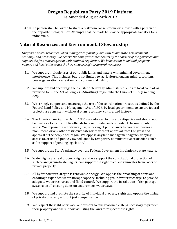As Amended August 24th 2019

4.10 No person shall be forced to share a restroom, locker-room, or shower with a person of the opposite biological sex. Attempts shall be made to provide appropriate facilities for all individuals.

#### **Natural Resources and Environmental Stewardship**

*Oregon's natural resources, when managed responsibly, are vital to our state's environment, economy, and prosperity. We believe that our government exists by the consent of the governed and support the free market system with minimal regulation. We believe that individual property owners and local citizens are the best stewards of our natural resources.* 

- 5.1 We support multiple uses of our public lands and waters with minimal government interference. This includes, but is not limited to, agriculture, logging, mining, tourism, power generation, recreation, and commercial fishing.
- 5.2 We support and encourage the transfer of federally administered lands to local control, as provided for in the Act of Congress Admitting Oregon into the Union of 1859 (Enabling Act).
- 5.3 We strongly support and encourage the use of the coordination process, as defined by the Federal Land Policy and Management Act of 1976, by local governments to ensure federal projects are consistent with local plans, economy, culture, and history.
- 5.4 The American Antiquities Act of 1906 was adopted to protect antiquities and should not be used as a tactic by public officials to take private lands or restrict the use of public lands. We oppose the withdrawal, use, or taking of public lands to create wilderness, monument, or any other restrictive categories without approval from Congress and approval of the people of Oregon. We oppose any land management agency denying access to, or use of, publicly owned lands by temporary administrative restrictions such as "in support of pending legislation."
- 5.5 We support the State's primacy over the Federal Government in relation to state waters.
- 5.6 Water rights are real property rights and we support the constitutional protection of surface and groundwater rights. We support the right to collect rainwater from roofs on private property.
- 5.7 All hydropower in Oregon is renewable energy. We oppose the breaching of dams and encourage expanded water storage capacity, including groundwater recharge, to provide adequate water resources and flood control. We support the installation of fish passage systems on all existing dams on anadromous waterways.
- 5.8 We support and promote the security of individual property rights and oppose the taking of private property without just compensation.
- 5.9 We respect the right of private landowners to take reasonable steps necessary to protect their property and we support adjusting the laws to respect those rights.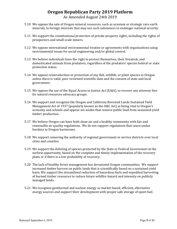#### **Oregon Republican Party 2019 Platform** As Amended August 24th 2019

- 5.10 We oppose the sale of Oregon mineral resources, such as uranium or strategic rare earth minerals, to foreign interests that may use such substances to endanger national security.
- 5.11 We support the constitutional protection of private property rights, including the rights of prospectors and small-scale miners.
- 5.12 We oppose international environmental treaties or agreements with organizations using environmental issues for social engineering and/or global control.
- 5.13 We believe individuals have the right to protect themselves, their livestock, and domesticated animals from predators, regardless of the predators' species federal or state protection status.
- 5.14 We oppose reintroduction or protection of any fish, wildlife, or plant species in Oregon unless there is valid, peer-reviewed scientific data and the consent of state and local government.
- 5.15 We oppose the use of the Equal Access to Justice Act (EAJA), to recover any attorney fees for natural resources advocacy groups.
- 5.16 We support and recognize the Oregon and California Revested Lands Sustained Yield Management Act of 1937 (popularly known as the O&C Act) as being vital to Oregon's economy and schools and oppose set-asides that remove public land from sustained-yield timber production.
- 5.17 We believe Oregon can have both clean air and a healthy community with fair and reasonable air quality regulations. We do not support regulations that cause undue burdens to Oregon businesses.
- 5.18 We support removing the authority of regional government or service districts over local cities and counties.
- 5.19 We support the delisting of species protected by the State or Federal Government at the earliest opportunity, based on the complete and timely implementation of the recovery plans or if there is a low probability of recovery.
- 5.20 The lack of healthy forest management has devastated Oregon communities. We support increased timber harvest on public lands that is scientifically based on a sustained yield basis. We support the streamlined reduction of hazardous fuels and expedited harvesting of burned timber resources to reduce future wildfire hazard and intensity on publicly managed lands.
- 5.21 We recognize geothermal and nuclear energy as market based, efficient, alternative energy sources and support their development with proper safe storage of spent fuel.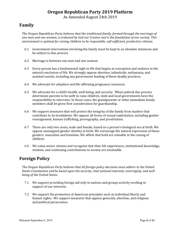As Amended August 24th 2019

#### **Family**

*The Oregon Republican Party believes that the traditional family, formed through the marriage of one man and one woman, is ordained by God our Creator and is the foundation of our society. This environment is optimal for raising children to be responsible, self‐sufficient, productive citizens.*

- 6.1 Government intervention involving the family must be kept to an absolute minimum and be subject to due process.
- 6.2 Marriage is between one man and one woman.
- 6.3 Every person has a fundamental right to life that begins at conception and endures to the natural conclusion of life. We strongly oppose abortion, infanticide, euthanasia, and assisted suicide, including any government funding of these deadly practices.
- 6.4 We advocate for adoption and life-affirming pregnancy resources.
- 6.5 We advocate for a child's health, well-being, and security. When judicial due process determines parents to be unfit to raise children, state and local governments have the responsibility to intervene. In those cases, the grandparents or other immediate family members shall be given first consideration for guardianship.
- 6.6 We support measures that will protect the integrity of the family from matters that contribute to its breakdown. We oppose all forms of sexual exploitation, including gender reassignment, human trafficking, pornography, and prostitution.
- 6.7 There are only two sexes, male and female, based on a person's biological sex at birth. We oppose unassigned gender identity at birth. We encourage the natural expression of those genders, masculine and feminine. We affirm that both are valuable in the raising of children.
- 6.8 We value senior citizens and recognize that their life experiences, institutional knowledge, wisdom, and continuing contributions to society are invaluable.

#### **Foreign Policy**

*The Oregon Republican Party believes that all foreign policy decisions must adhere to the United States Constitution and be based upon the security, vital national interests, sovereignty, and wellbeing of the United States.*

- 7.1 We support providing foreign aid only to nations and groups actively working in support of our interests.
- 7.2 We support the promotion of American principles such as individual liberty and human rights. We support measures that oppose genocide, abortion, and religious and political persecution.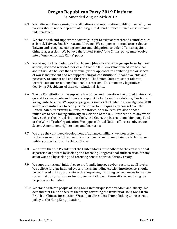#### **Oregon Republican Party 2019 Platform** As Amended August 24th 2019

- 7.3 We believe in the sovereignty of all nations and reject nation building. Peaceful, free nations should not be deprived of the right to defend their continued existence and independence.
- 7.4 We stand with and support the sovereign right to exist of threatened countries such as Israel, Taiwan, South Korea, and Ukraine. We support continued arms sales to Taiwan and recognize our agreements and obligations to defend Taiwan against Chinese aggression. We believe the United States' "one China" policy must evolve into a "one democratic China" policy.
- 7.5 We recognize that violent, radical, Islamic Jihadists and other groups have, by their actions, declared war on America and that the U.S. Government needs to be clear about this. We believe that a criminal justice approach to combating terrorist acts of war is insufficient and we support using all constitutional means available and necessary to combat and end this threat. The United States must not tolerate terrorist actions or nations that enable terrorism. This in no way legitimizes depriving U.S. citizens of their constitutional rights.
- 7.6 The US Constitution is the supreme law of the land; therefore, the United States shall defend its sovereignty and is solely responsible for its national defense, free from foreign interference. We oppose programs such as the United Nations Agenda 2030, and related initiatives to cede jurisdiction or to relinquish any control over the United States, its citizens, military, territories, or resources. We also oppose initiatives to cede taxing authority, in violation of the U.S. Constitution, to any world body such as the United Nations, the World Court, the International Monetary Fund or the World Trade Organization. We oppose United Nation efforts to subvert our Second Amendment right to keep and bear arms.
- 7.7 We urge the continued development of advanced military weapon systems to protect our national infrastructure and citizenry and to maintain the technical and military superiority of the United States.
- 7.8 We affirm that the President of the United States must adhere to the constitutional separation of powers by seeking and receiving Congressional authorization for any act of war and by seeking and receiving Senate approval for any treaty.
- 7.9 We support national initiatives to profoundly improve cyber-security at all levels. We believe foreign-initiated cyber-attacks, including election interference, should be countered with appropriate active responses, including consequences for nationstates that host, sponsor, or for any reason fail to end these attacks and bring the perpetrators to justice.
- 7.10 We stand with the people of Hong Kong in their quest for freedom and liberty. We demand that China adhere to the treaty governing the transfer of Hong Kong from British to Chinese jurisdiction. We support President Trump linking Chinese trade policy to the Hong Kong situation.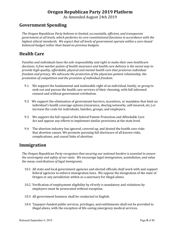As Amended August 24th 2019

#### **Government Spending**

*The Oregon Republican Party believes in limited, accountable, efficient, and transparent government at all levels, which performs its core constitutional functions in accordance with the highest ethical standards. We expect that all levels of government operate within a zero-based balanced budget rather than based on previous budgets.*

#### **Health Care**

*Families and individuals have the sole responsibility and right to make their own healthcare decisions. A free market system of health insurance and health care delivery is the surest way to provide high-quality, affordable, physical and mental health care that preserves individual freedom and privacy. We advocate the protection of the physician-patient relationship, the promotion of competition and the provision of individual freedom.*

- 9.1 We support the fundamental and inalienable right of an individual, family, or group to seek out and pursue the health care services of their choosing, with full informed consent and without government retribution.
- 9.2 We support the elimination of government barriers, incentives, or mandates that limit an individual's health coverage options (insurance, sharing networks, self-insured, etc.) or increase the costs for individuals, families, groups, and employers.
- 9.3 We support the full repeal of the federal Patient Protection and Affordable Care Act and oppose any efforts to implement similar provisions at the state level.
- 9.4 The abortion industry has ignored, covered up, and denied the health care risks that abortion causes. We promote pursuing full disclosure of all known risks, complications, and causal links of abortion.

#### **Immigration**

*The Oregon Republican Party recognizes that securing our national borders is essential to ensure the sovereignty and safety of our state. We encourage legal immigration, assimilation, and value the many contributions of legal immigrants.*

- 10.1 All state and local government agencies and elected officials shall work with and support federal agencies to enforce immigration laws. We oppose the designation of the state of Oregon or any jurisdiction within as a sanctuary for illegal aliens.
- 10.2 Verification of employment eligibility by eVerify is mandatory and violations by employers must be prosecuted without exception.
- 10.3 All government business shall be conducted in English.
- 10.4 Taxpayer-funded public services, privileges, and entitlements shall not be provided to illegal aliens, with the exception of life-saving emergency medical services.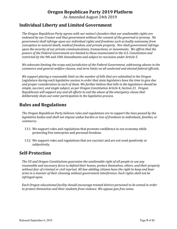As Amended August 24th 2019

#### **Individual Liberty and Limited Government**

*The Oregon Republican Party agrees with our nation's founders that our unalienable rights are endowed by our Creator and that government without the consent of the governed is tyranny. No government shall infringe upon our individual rights and freedoms such as bodily autonomy from conception to natural death, medical freedom, and private property. Nor shall government infringe upon the security of our private communications, transactions, or movements. We affirm that the powers of the Federal Government are limited to those enumerated in the U.S. Constitution and restricted by the 9th and 10th Amendments and subject to rescission under Article 5.*

*We advocate limiting the scope and jurisdiction of the Federal Government, addressing abuses in the commerce and general welfare clauses, and term limits on all unelected and elected federal officials.*

*We support placing a reasonable limit on the number of bills that are submitted in the Oregon Legislature during each legislative session in order that state legislators have the time to give due and proper consideration to each of them. We further believe that bills in the legislature should be simple, succinct, and single subject, as per Oregon Constitution Article 4, Section 21. Oregon Republicans will support any and all efforts to end the abuse of the emergency clause that deliberately shuts out voter participation in the legislative process.*

#### **Rules and Regulations**

*The Oregon Republican Party believes rules and regulations are to support the laws passed by the legislative bodies and shall not impose undue burden or loss of freedoms to individuals, families, or commerce.*

- 13.1 We support rules and regulations that promote confidence in our economy while protecting free enterprise and personal freedom.
- 13.2 We support rules and regulations that are succinct and are not used punitively or subjectively.

#### **Self-Protection**

*The US and Oregon Constitutions guarantee the unalienable right of all people to use any reasonable and necessary force to defend their homes, protect themselves, others, and their property without fear of criminal or civil reprisal. All law-abiding citizens have the right to keep and bear arms in a manner of their choosing without government interference. Such rights shall not be infringed upon.*

*Each Oregon educational facility should encourage trained district personnel to be armed in order to protect themselves and their students from violence. We oppose gun free zones.*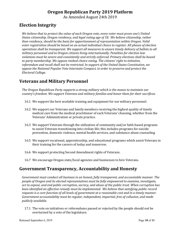As Amended August 24th 2019

#### **Election Integrity**

*We believe that to protect the value of each Oregon vote, every voter must prove one's United States citizenship, Oregon residency, and legal voting age of 18. We believe citizenship, rather than residency, should be the basis for apportionment of representation within Oregon. Valid voter registration should be based on an actual individual choice to register. All phases of election operations shall be transparent. We support all measures to ensure timely delivery of ballots to all military personnel and to Oregon citizens living internationally. Penalties for election law violations must be severe and consistently and strictly enforced. Primary elections shall be bound to party membership. We oppose ranked-choice voting. The citizens' right to initiative, referendum and recall shall not be restricted. In support of the United States Constitution, we oppose the National Popular Vote Interstate Compact, in order to preserve and protect the Electoral College.*

#### **Veterans and Military Personnel**

*The Oregon Republican Party supports a strong military which is the means to maintain our country's freedom. We support Veterans and military families and honor them for their sacrifices.*

- 16.1 We support the best available training and equipment for our military personnel.
- 16.2 We support our Veterans and family members receiving the highest quality of timely medical care from the medical practitioner of each Veterans' choosing, whether from the Veterans' Administration or private practice.
- 16.3 We support Veterans through the utilization of community and/or faith-based programs to assist Veterans transitioning into civilian life; this includes programs for suicide prevention, domestic violence, mental health services, and substance abuse counseling.
- 16.5 We support vocational, apprenticeship, and educational programs which assist Veterans in their training for the careers of today and tomorrow.
- 16.6 We support protecting Second Amendment rights of Veterans.
- 16.7 We encourage Oregon state/local agencies and businesses to hire Veterans.

#### **Government Transparency, Accountability and Honesty**

*Government must conduct all business in an honest, fully transparent, and accountable manner. The people of Oregon and its elected representatives must be fully empowered to examine, investigate, act to expose, and end public corruption, secrecy, and abuse of the public trust. When corruption has been identified an effective remedy must be implemented. We believe that satisfying public record requests is a core function of all levels of government at a reasonable cost and in a timely manner. Government accountability must be regular, independent, impartial, free of collusion, and made publicly available.*

17.1 The vote on initiatives or referendums passed or rejected by the people should not be overturned by a vote of the legislature.